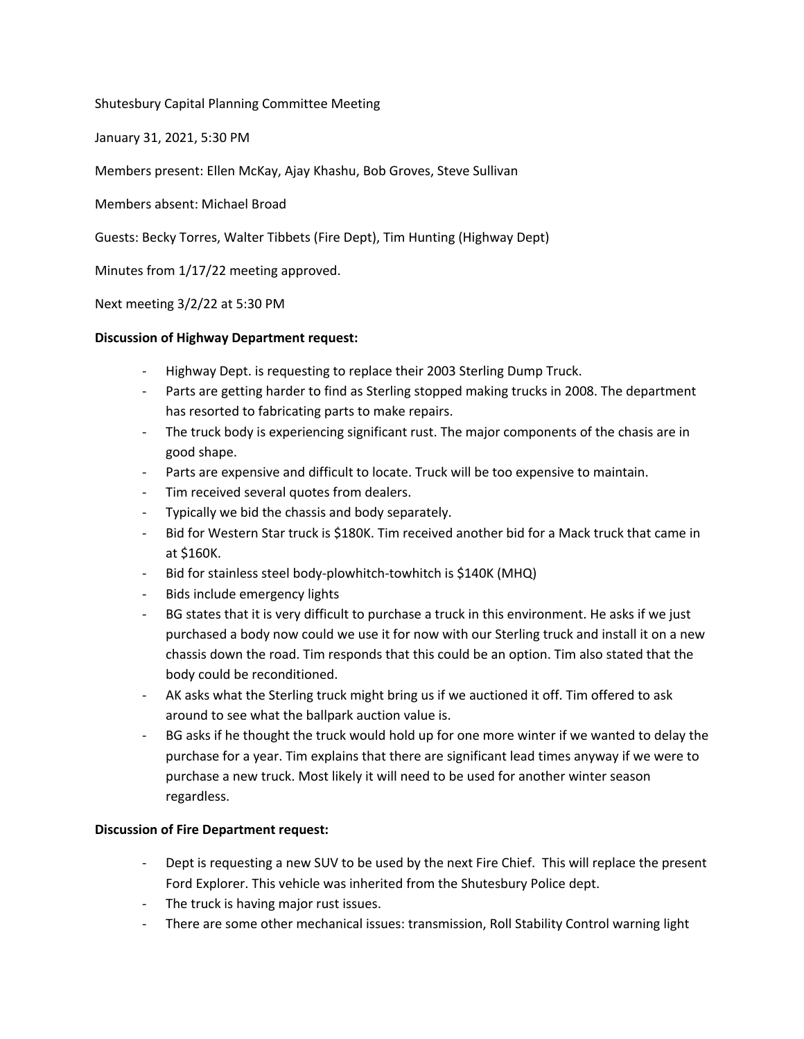Shutesbury Capital Planning Committee Meeting

January 31, 2021, 5:30 PM

Members present: Ellen McKay, Ajay Khashu, Bob Groves, Steve Sullivan

Members absent: Michael Broad

Guests: Becky Torres, Walter Tibbets (Fire Dept), Tim Hunting (Highway Dept)

Minutes from 1/17/22 meeting approved.

Next meeting 3/2/22 at 5:30 PM

## **Discussion of Highway Department request:**

- Highway Dept. is requesting to replace their 2003 Sterling Dump Truck.
- Parts are getting harder to find as Sterling stopped making trucks in 2008. The department has resorted to fabricating parts to make repairs.
- The truck body is experiencing significant rust. The major components of the chasis are in good shape.
- Parts are expensive and difficult to locate. Truck will be too expensive to maintain.
- Tim received several quotes from dealers.
- Typically we bid the chassis and body separately.
- Bid for Western Star truck is \$180K. Tim received another bid for a Mack truck that came in at \$160K.
- Bid for stainless steel body-plowhitch-towhitch is \$140K (MHQ)
- Bids include emergency lights
- BG states that it is very difficult to purchase a truck in this environment. He asks if we just purchased a body now could we use it for now with our Sterling truck and install it on a new chassis down the road. Tim responds that this could be an option. Tim also stated that the body could be reconditioned.
- AK asks what the Sterling truck might bring us if we auctioned it off. Tim offered to ask around to see what the ballpark auction value is.
- BG asks if he thought the truck would hold up for one more winter if we wanted to delay the purchase for a year. Tim explains that there are significant lead times anyway if we were to purchase a new truck. Most likely it will need to be used for another winter season regardless.

## **Discussion of Fire Department request:**

- Dept is requesting a new SUV to be used by the next Fire Chief. This will replace the present Ford Explorer. This vehicle was inherited from the Shutesbury Police dept.
- The truck is having major rust issues.
- There are some other mechanical issues: transmission, Roll Stability Control warning light